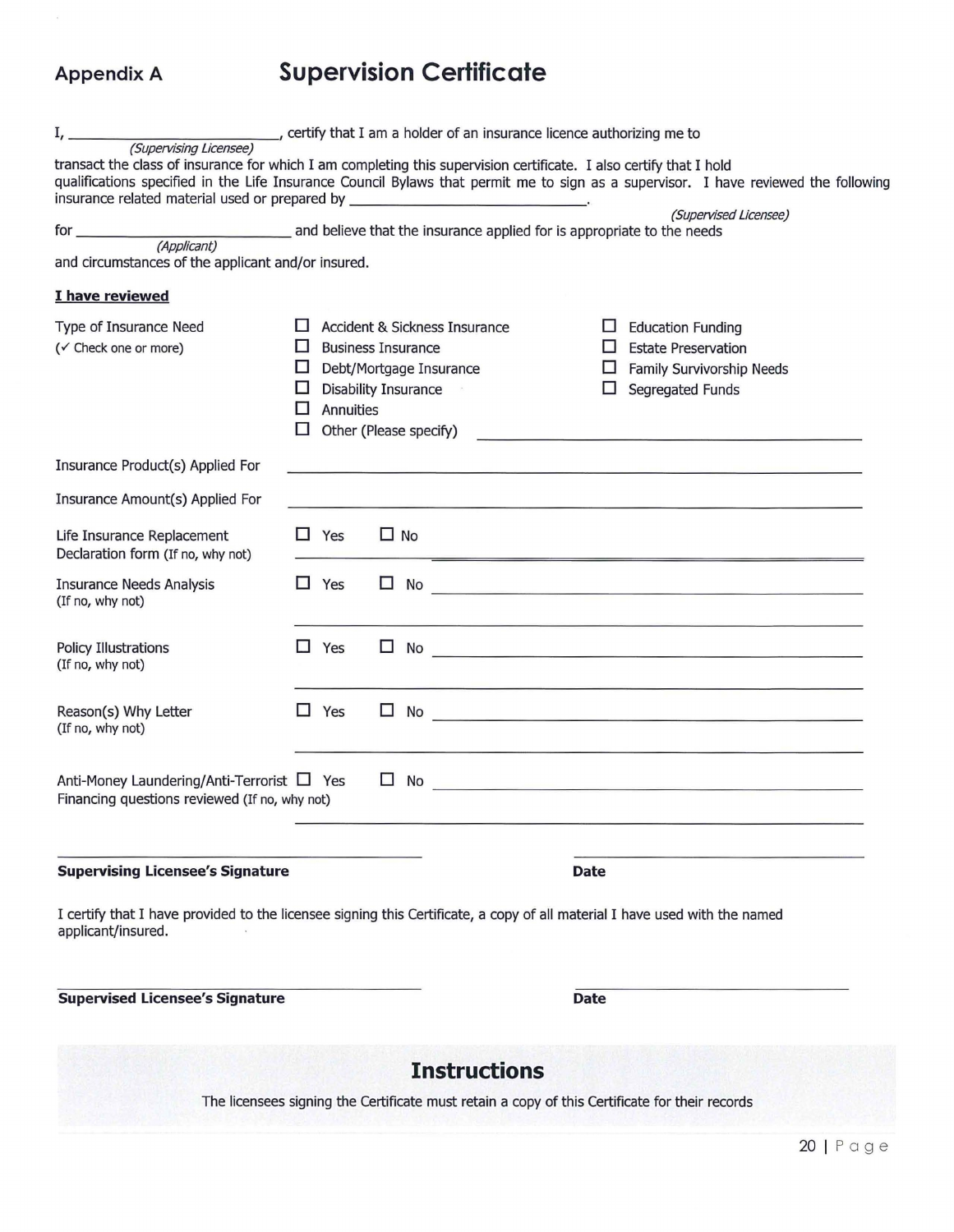## **Appendix A Supervision Certificate**

| transact the class of insurance for which I am completing this supervision certificate. I also certify that I hold<br>insurance related material used or prepared by _ |                                                                                               |            |                                                      | <u> The Communication of the Communication of the Communication of the Communication of the Communication of the Communication of the Communication of the Communication of the Communication of the Communication of the Commun</u> |              | qualifications specified in the Life Insurance Council Bylaws that permit me to sign as a supervisor. I have reviewed the following                                                                                                                             |
|------------------------------------------------------------------------------------------------------------------------------------------------------------------------|-----------------------------------------------------------------------------------------------|------------|------------------------------------------------------|--------------------------------------------------------------------------------------------------------------------------------------------------------------------------------------------------------------------------------------|--------------|-----------------------------------------------------------------------------------------------------------------------------------------------------------------------------------------------------------------------------------------------------------------|
| (Supervised Licensee)                                                                                                                                                  |                                                                                               |            |                                                      |                                                                                                                                                                                                                                      |              |                                                                                                                                                                                                                                                                 |
| and circumstances of the applicant and/or insured.                                                                                                                     |                                                                                               |            |                                                      |                                                                                                                                                                                                                                      |              |                                                                                                                                                                                                                                                                 |
| I have reviewed                                                                                                                                                        |                                                                                               |            |                                                      |                                                                                                                                                                                                                                      |              |                                                                                                                                                                                                                                                                 |
| Type of Insurance Need<br>(√ Check one or more)                                                                                                                        |                                                                                               |            | <b>Business Insurance</b><br>Debt/Mortgage Insurance | Accident & Sickness Insurance                                                                                                                                                                                                        | ш.<br>ш<br>ப | <b>Education Funding</b><br><b>Estate Preservation</b><br>Family Survivorship Needs                                                                                                                                                                             |
|                                                                                                                                                                        | ப<br><b>Disability Insurance</b><br>⊔<br><b>Annuities</b><br>Ш<br>Other (Please specify)<br>П |            |                                                      |                                                                                                                                                                                                                                      |              | <b>Segregated Funds</b><br><u> 1980 - John Harry Harry Harry Harry Harry Harry Harry Harry Harry Harry Harry Harry Harry Harry Harry Harry Harry Harry Harry Harry Harry Harry Harry Harry Harry Harry Harry Harry Harry Harry Harry Harry Harry Harry Harr</u> |
| Insurance Product(s) Applied For                                                                                                                                       |                                                                                               |            |                                                      |                                                                                                                                                                                                                                      |              | and the control of the control of the control of the control of the control of the control of the control of the                                                                                                                                                |
| Insurance Amount(s) Applied For                                                                                                                                        |                                                                                               |            |                                                      |                                                                                                                                                                                                                                      |              |                                                                                                                                                                                                                                                                 |
| Life Insurance Replacement<br>Declaration form (If no, why not)                                                                                                        |                                                                                               | $\Box$ Yes | $\Box$ No                                            |                                                                                                                                                                                                                                      |              | <u> 1989 - Johann Johann Stone, mensk politik (d. 1989)</u>                                                                                                                                                                                                     |
| <b>Insurance Needs Analysis</b><br>(If no, why not)                                                                                                                    | $\mathbb{R}$                                                                                  | Yes        | $\mathbf{L}$<br>No                                   |                                                                                                                                                                                                                                      |              | <u> Territoria de la contrada de la contrada de la contrada de la contrada de la contrada de la contrada de la c</u>                                                                                                                                            |
| <b>Policy Illustrations</b><br>(If no, why not)                                                                                                                        |                                                                                               | $\Box$ Yes | ⊔                                                    |                                                                                                                                                                                                                                      |              | $\mathsf{No}$                                                                                                                                                                                                                                                   |
| Reason(s) Why Letter<br>(If no, why not)                                                                                                                               |                                                                                               | $\Box$ Yes | □<br>No                                              |                                                                                                                                                                                                                                      |              | <u> 1980 - Jan Barnett, fransk politiker (d. 1980)</u>                                                                                                                                                                                                          |
| Anti-Money Laundering/Anti-Terrorist □ Yes<br>Financing questions reviewed (If no, why not)                                                                            |                                                                                               |            | $\Box$<br>No                                         |                                                                                                                                                                                                                                      |              | <u> 1980 - Jan James James James James James James James James James James James James James James James James J</u>                                                                                                                                            |
| <b>Supervising Licensee's Signature</b>                                                                                                                                |                                                                                               |            |                                                      |                                                                                                                                                                                                                                      | <b>Date</b>  |                                                                                                                                                                                                                                                                 |
| I certify that I have provided to the licensee signing this Certificate, a copy of all material I have used with the named<br>applicant/insured.                       |                                                                                               |            |                                                      |                                                                                                                                                                                                                                      |              |                                                                                                                                                                                                                                                                 |
| <b>Supervised Licensee's Signature</b>                                                                                                                                 |                                                                                               |            |                                                      | <b>Date</b>                                                                                                                                                                                                                          |              |                                                                                                                                                                                                                                                                 |
|                                                                                                                                                                        |                                                                                               |            |                                                      | <b>Instructions</b>                                                                                                                                                                                                                  |              |                                                                                                                                                                                                                                                                 |
|                                                                                                                                                                        |                                                                                               |            |                                                      |                                                                                                                                                                                                                                      |              | The licensees signing the Certificate must retain a copy of this Certificate for their records                                                                                                                                                                  |